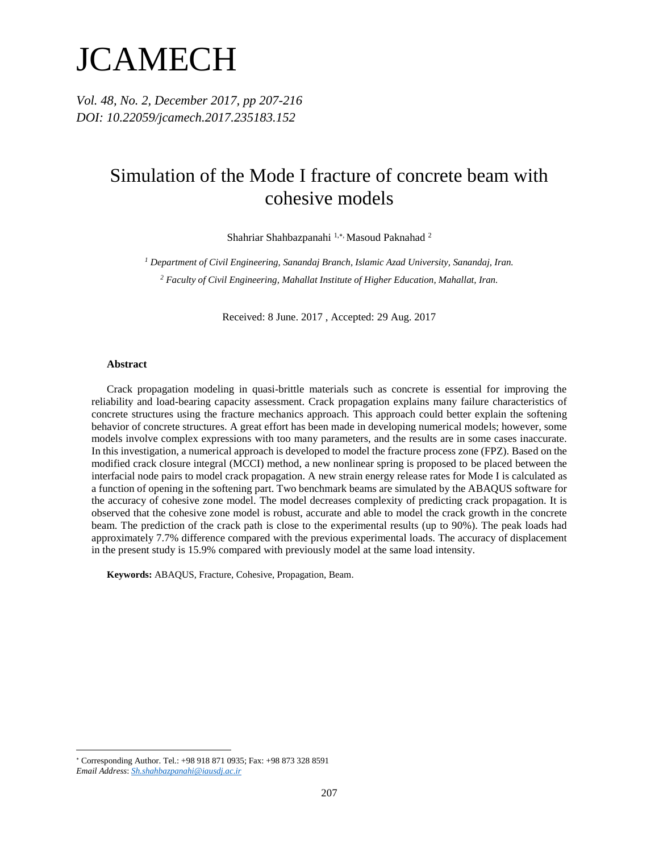# JCAMECH

*Vol. 48, No. 2, December 2017, pp 207-216 DOI: 10.22059/jcamech.2017.235183.152*

# Simulation of the Mode I fracture of concrete beam with cohesive models

Shahriar Shahbazpanahi 1,\*, Masoud Paknahad 2

*<sup>1</sup> Department of Civil Engineering, Sanandaj Branch, Islamic Azad University, Sanandaj, Iran. <sup>2</sup> Faculty of Civil Engineering, Mahallat Institute of Higher Education, Mahallat, Iran.*

Received: 8 June. 2017 , Accepted: 29 Aug. 2017

#### **Abstract**

Crack propagation modeling in quasi-brittle materials such as concrete is essential for improving the reliability and load-bearing capacity assessment. Crack propagation explains many failure characteristics of concrete structures using the fracture mechanics approach. This approach could better explain the softening behavior of concrete structures. A great effort has been made in developing numerical models; however, some models involve complex expressions with too many parameters, and the results are in some cases inaccurate. In this investigation, a numerical approach is developed to model the fracture process zone (FPZ). Based on the modified crack closure integral (MCCI) method, a new nonlinear spring is proposed to be placed between the interfacial node pairs to model crack propagation. A new strain energy release rates for Mode I is calculated as a function of opening in the softening part. Two benchmark beams are simulated by the ABAQUS software for the accuracy of cohesive zone model. The model decreases complexity of predicting crack propagation. It is observed that the cohesive zone model is robust, accurate and able to model the crack growth in the concrete beam. The prediction of the crack path is close to the experimental results (up to 90%). The peak loads had approximately 7.7% difference compared with the previous experimental loads. The accuracy of displacement in the present study is 15.9% compared with previously model at the same load intensity.

**Keywords:** ABAQUS, Fracture, Cohesive, Propagation, Beam.

 $\overline{a}$ 

Corresponding Author. Tel.: +98 918 871 0935; Fax: +98 873 328 8591

*Email Address*: *Sh.shahbazpanahi@iausdj.ac.ir*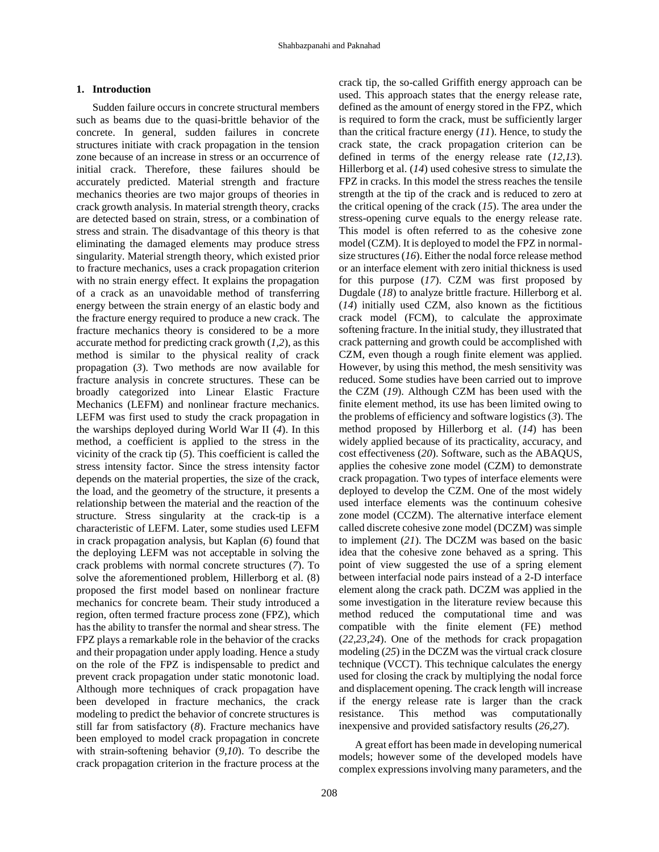#### **1. Introduction**

Sudden failure occurs in concrete structural members such as beams due to the quasi-brittle behavior of the concrete. In general, sudden failures in concrete structures initiate with crack propagation in the tension zone because of an increase in stress or an occurrence of initial crack. Therefore, these failures should be accurately predicted. Material strength and fracture mechanics theories are two major groups of theories in crack growth analysis. In material strength theory, cracks are detected based on strain, stress, or a combination of stress and strain. The disadvantage of this theory is that eliminating the damaged elements may produce stress singularity. Material strength theory, which existed prior to fracture mechanics, uses a crack propagation criterion with no strain energy effect. It explains the propagation of a crack as an unavoidable method of transferring energy between the strain energy of an elastic body and the fracture energy required to produce a new crack. The fracture mechanics theory is considered to be a more accurate method for predicting crack growth (*[1](#page-8-0)*,*[2](#page-8-1)*), as this method is similar to the physical reality of crack propagation (*[3](#page-8-2)*). Two methods are now available for fracture analysis in concrete structures. These can be broadly categorized into Linear Elastic Fracture Mechanics (LEFM) and nonlinear fracture mechanics. LEFM was first used to study the crack propagation in the warships deployed during World War II (*[4](#page-8-3)*). In this method, a coefficient is applied to the stress in the vicinity of the crack tip (*[5](#page-8-4)*). This coefficient is called the stress intensity factor. Since the stress intensity factor depends on the material properties, the size of the crack, the load, and the geometry of the structure, it presents a relationship between the material and the reaction of the structure. Stress singularity at the crack-tip is a characteristic of LEFM. Later, some studies used LEFM in crack propagation analysis, but Kaplan (*[6](#page-8-5)*) found that the deploying LEFM was not acceptable in solving the crack problems with normal concrete structures (*[7](#page-8-6)*). To solve the aforementioned problem, Hillerborg et al. (8) proposed the first model based on nonlinear fracture mechanics for concrete beam. Their study introduced a region, often termed fracture process zone (FPZ), which has the ability to transfer the normal and shear stress. The FPZ plays a remarkable role in the behavior of the cracks and their propagation under apply loading. Hence a study on the role of the FPZ is indispensable to predict and prevent crack propagation under static monotonic load. Although more techniques of crack propagation have been developed in fracture mechanics, the crack modeling to predict the behavior of concrete structures is still far from satisfactory (*[8](#page-8-7)*). Fracture mechanics have been employed to model crack propagation in concrete with strain-softening behavior (*[9](#page-8-8)*,*[10](#page-8-9)*). To describe the crack propagation criterion in the fracture process at the crack tip, the so-called Griffith energy approach can be used. This approach states that the energy release rate, defined as the amount of energy stored in the FPZ, which is required to form the crack, must be sufficiently larger than the critical fracture energy (*[11](#page-8-10)*). Hence, to study the crack state, the crack propagation criterion can be defined in terms of the energy release rate (*[12](#page-8-11)*,*[13](#page-8-12)*). Hillerborg et al. (*[14](#page-8-13)*) used cohesive stress to simulate the FPZ in cracks. In this model the stress reaches the tensile strength at the tip of the crack and is reduced to zero at the critical opening of the crack (*[15](#page-8-14)*). The area under the stress-opening curve equals to the energy release rate. This model is often referred to as the cohesive zone model (CZM). It is deployed to model the FPZ in normalsize structures(*[16](#page-8-15)*). Either the nodal force release method or an interface element with zero initial thickness is used for this purpose (*[17](#page-8-16)*). CZM was first proposed by Dugdale (*[18](#page-8-17)*) to analyze brittle fracture. Hillerborg et al. (*[14](#page-8-13)*) initially used CZM, also known as the fictitious crack model (FCM), to calculate the approximate softening fracture. In the initial study, they illustrated that crack patterning and growth could be accomplished with CZM, even though a rough finite element was applied. However, by using this method, the mesh sensitivity was reduced. Some studies have been carried out to improve the CZM (*[19](#page-8-18)*). Although CZM has been used with the finite element method, its use has been limited owing to the problems of efficiency and software logistics (*[3](#page-8-2)*). The method proposed by Hillerborg et al. (*[14](#page-8-13)*) has been widely applied because of its practicality, accuracy, and cost effectiveness (*[20](#page-8-19)*). Software, such as the ABAQUS, applies the cohesive zone model (CZM) to demonstrate crack propagation. Two types of interface elements were deployed to develop the CZM. One of the most widely used interface elements was the continuum cohesive zone model (CCZM). The alternative interface element called discrete cohesive zone model (DCZM) was simple to implement (*[21](#page-8-20)*). The DCZM was based on the basic idea that the cohesive zone behaved as a spring. This point of view suggested the use of a spring element between interfacial node pairs instead of a 2-D interface element along the crack path. DCZM was applied in the some investigation in the literature review because this method reduced the computational time and was compatible with the finite element (FE) method (*[22](#page-8-21)*,*[23](#page-8-22)*,*[24](#page-8-23)*). One of the methods for crack propagation modeling (*[25](#page-8-24)*) in the DCZM was the virtual crack closure technique (VCCT). This technique calculates the energy used for closing the crack by multiplying the nodal force and displacement opening. The crack length will increase if the energy release rate is larger than the crack resistance. This method was computationally inexpensive and provided satisfactory results (*[26](#page-8-25)*,*[27](#page-8-26)*).

A great effort has been made in developing numerical models; however some of the developed models have complex expressions involving many parameters, and the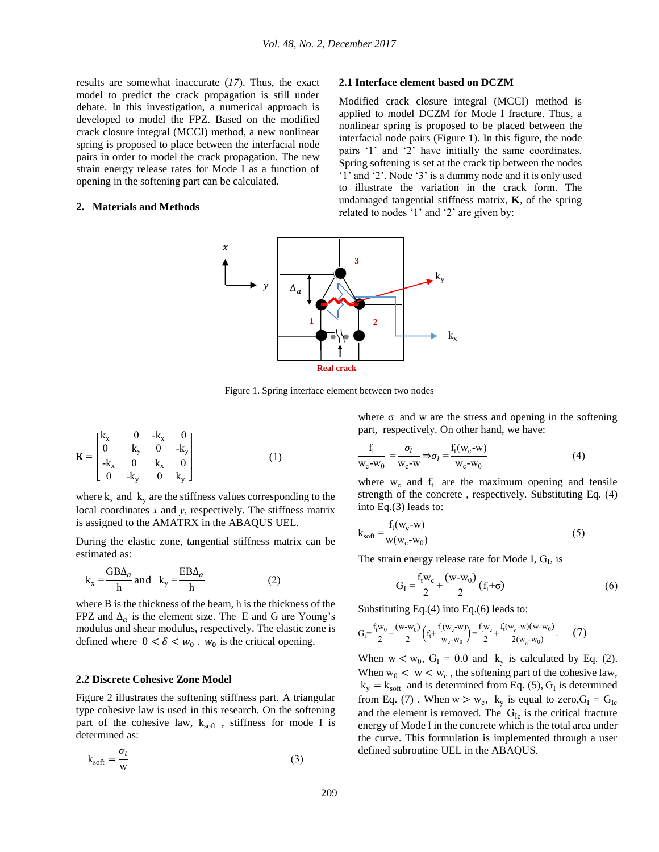results are somewhat inaccurate (*[17](#page-8-16)*). Thus, the exact model to predict the crack propagation is still under debate. In this investigation, a numerical approach is developed to model the FPZ. Based on the modified crack closure integral (MCCI) method, a new nonlinear spring is proposed to place between the interfacial node pairs in order to model the crack propagation. The new strain energy release rates for Mode I as a function of opening in the softening part can be calculated.

#### **2. Materials and Methods**

#### **2.1 Interface element based on DCZM**

Modified crack closure integral (MCCI) method is applied to model DCZM for Mode I fracture. Thus, a nonlinear spring is proposed to be placed between the interfacial node pairs (Figure 1). In this figure, the node pairs '1' and '2' have initially the same coordinates. Spring softening is set at the crack tip between the nodes '1' and '2'. Node '3' is a dummy node and it is only used to illustrate the variation in the crack form. The undamaged tangential stiffness matrix, **K**, of the spring related to nodes '1' and '2' are given by:



Figure 1. Spring interface element between two nodes

$$
\mathbf{K} = \begin{bmatrix} k_{x} & 0 & -k_{x} & 0 \\ 0 & k_{y} & 0 & -k_{y} \\ -k_{x} & 0 & k_{x} & 0 \\ 0 & -k_{y} & 0 & k_{y} \end{bmatrix}
$$
 (1)

where  $k_x$  and  $k_y$  are the stiffness values corresponding to the local coordinates *x* and *y*, respectively. The stiffness matrix is assigned to the AMATRX in the ABAQUS UEL.

During the elastic zone, tangential stiffness matrix can be estimated as:

$$
k_x = \frac{GB\Delta_a}{h} \text{ and } k_y = \frac{EB\Delta_a}{h} \tag{2}
$$

where B is the thickness of the beam, h is the thickness of the FPZ and  $\Delta_a$  is the element size. The E and G are Young's modulus and shear modulus, respectively. The elastic zone is defined where  $0 < \delta < w_0$ .  $w_0$  is the critical opening.

### **2.2 Discrete Cohesive Zone Model**

Figure 2 illustrates the softening stiffness part. A triangular type cohesive law is used in this research. On the softening part of the cohesive law,  $k_{soft}$ , stiffness for mode I is determined as:

$$
k_{soft} = \frac{\sigma_l}{w}
$$
 (3)

where  $\sigma$  and w are the stress and opening in the softening part, respectively. On other hand, we have:

$$
\frac{f_t}{w_c - w_0} = \frac{\sigma_l}{w_c - w} \Rightarrow \sigma_l = \frac{f_t(w_c - w)}{w_c - w_0}
$$
\n<sup>(4)</sup>

where  $w_c$  and  $f_t$  are the maximum opening and tensile strength of the concrete , respectively. Substituting Eq. (4) into Eq.(3) leads to:

$$
k_{soft} = \frac{f_t(w_c - w)}{w(w_c - w_0)}
$$
(5)

The strain energy release rate for Mode I,  $G_I$ , is

$$
G_{I} = \frac{f_{t}w_{c}}{2} + \frac{(w-w_{0})}{2}(f_{t} + \sigma)
$$
 (6)

Substituting Eq.(4) into Eq.(6) leads to:

$$
G_l = \frac{f_t w_0}{2} + \frac{(w \cdot w_0)}{2} \left( f_t + \frac{f_t (w_c \cdot w)}{w_c \cdot w_0} \right) = \frac{f_t w_c}{2} + \frac{f_t (w_c \cdot w)(w \cdot w_0)}{2(w_c \cdot w_0)}.
$$
 (7)

When  $w < w_0$ ,  $G_I = 0.0$  and  $k_y$  is calculated by Eq. (2). When  $w_0 < w < w_c$ , the softening part of the cohesive law,  $k_y = k_{soft}$  and is determined from Eq. (5), G<sub>I</sub> is determined from Eq. (7). When  $w > w_c$ ,  $k_y$  is equal to zero,  $G_I = G_{Ic}$ and the element is removed. The  $G_{Ic}$  is the critical fracture energy of Mode I in the concrete which is the total area under the curve. This formulation is implemented through a user defined subroutine UEL in the ABAQUS.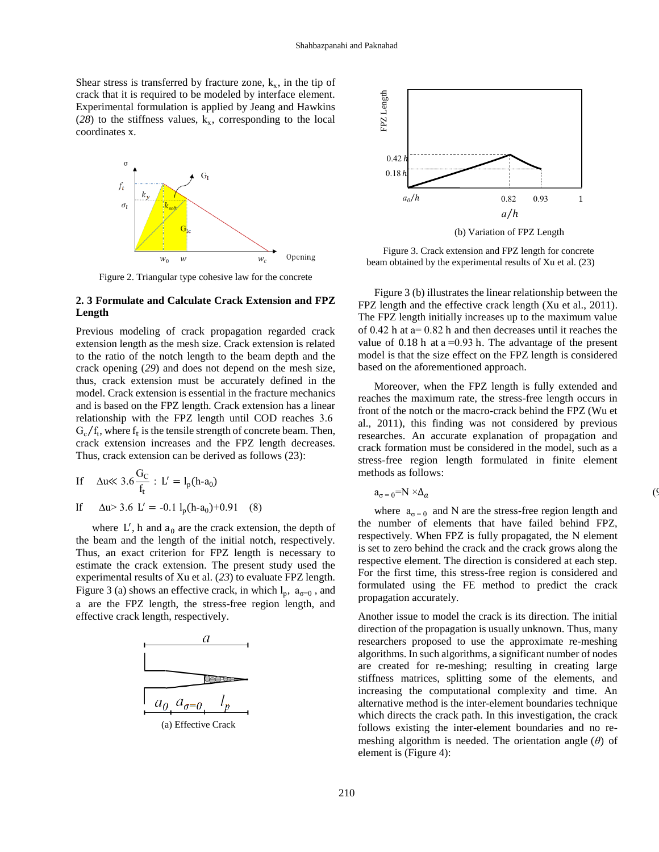Shear stress is transferred by fracture zone,  $k_x$ , in the tip of crack that it is required to be modeled by interface element. Experimental formulation is applied by Jeang and Hawkins  $(28)$  $(28)$  $(28)$  to the stiffness values,  $k_x$ , corresponding to the local coordinates x.



Figure 2. Triangular type cohesive law for the concrete

# **2. 3 Formulate and Calculate Crack Extension and FPZ Length**

Previous modeling of crack propagation regarded crack extension length as the mesh size. Crack extension is related to the ratio of the notch length to the beam depth and the crack opening (*[29](#page-9-1)*) and does not depend on the mesh size, thus, crack extension must be accurately defined in the model. Crack extension is essential in the fracture mechanics and is based on the FPZ length. Crack extension has a linear relationship with the FPZ length until COD reaches 3.6  $G_c/f_t$ , where  $f_t$  is the tensile strength of concrete beam. Then, crack extension increases and the FPZ length decreases. Thus, crack extension can be derived as follows (23):

$$
\text{If} \quad \Delta u \ll 3.6 \frac{G_C}{f_t} : \ L' = l_p(h \text{-} a_0)
$$

If  $\Delta u > 3.6$  L' = -0.1 l<sub>p</sub>(h-a<sub>0</sub>)+0.91 (8)

where  $L'$ , h and  $a_0$  are the crack extension, the depth of the beam and the length of the initial notch, respectively. Thus, an exact criterion for FPZ length is necessary to estimate the crack extension. The present study used the experimental results of Xu et al. (*[23](#page-8-22)*) to evaluate FPZ length. Figure 3 (a) shows an effective crack, in which  $l_p$ ,  $a_{\sigma=0}$ , and a are the FPZ length, the stress-free region length, and effective crack length, respectively.





Figure 3. Crack extension and FPZ length for concrete beam obtained by the experimental results of Xu et al. (23)

Figure 3 (b) illustrates the linear relationship between the FPZ length and the effective crack length (Xu et al., 2011). The FPZ length initially increases up to the maximum value of 0.42 h at a= 0.82 h and then decreases until it reaches the value of  $0.18$  h at a = 0.93 h. The advantage of the present model is that the size effect on the FPZ length is considered based on the aforementioned approach.

Moreover, when the FPZ length is fully extended and reaches the maximum rate, the stress-free length occurs in front of the notch or the macro-crack behind the FPZ (Wu et al., 2011), this finding was not considered by previous researches. An accurate explanation of propagation and crack formation must be considered in the model, such as a stress-free region length formulated in finite element methods as follows:

$$
a_{\sigma=0} = N \times \Delta_a \tag{9}
$$

where  $a_{\sigma=0}$  and N are the stress-free region length and the number of elements that have failed behind FPZ, respectively. When FPZ is fully propagated, the N element is set to zero behind the crack and the crack grows along the respective element. The direction is considered at each step. For the first time, this stress-free region is considered and formulated using the FE method to predict the crack propagation accurately.

Another issue to model the crack is its direction. The initial direction of the propagation is usually unknown. Thus, many researchers proposed to use the approximate re-meshing algorithms. In such algorithms, a significant number of nodes are created for re-meshing; resulting in creating large stiffness matrices, splitting some of the elements, and increasing the computational complexity and time. An alternative method is the inter-element boundaries technique which directs the crack path. In this investigation, the crack follows existing the inter-element boundaries and no remeshing algorithm is needed. The orientation angle (*θ*) of element is (Figure 4):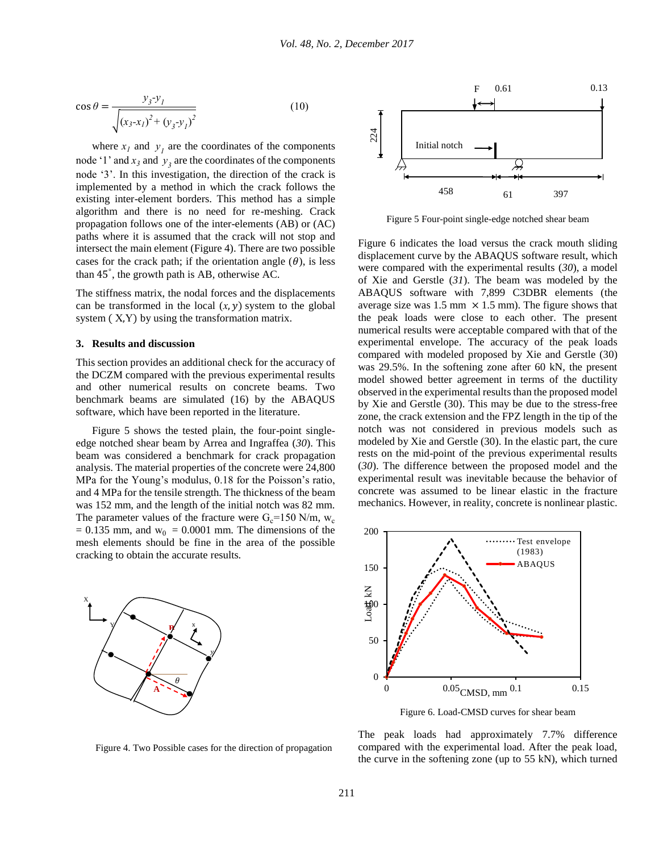$$
\cos \theta = \frac{y_3 y_1}{\sqrt{(x_3 - x_1)^2 + (y_3 - y_1)^2}}
$$
(10)

where  $x_l$  and  $y_l$  are the coordinates of the components node '1' and  $x_3$  and  $y_3$  are the coordinates of the components node '3'. In this investigation, the direction of the crack is implemented by a method in which the crack follows the existing inter-element borders. This method has a simple algorithm and there is no need for re-meshing. Crack propagation follows one of the inter-elements (AB) or (AC) paths where it is assumed that the crack will not stop and intersect the main element (Figure 4). There are two possible cases for the crack path; if the orientation angle  $(\theta)$ , is less than 45° , the growth path is AB, otherwise AC.

The stiffness matrix, the nodal forces and the displacements can be transformed in the local  $(x, y)$  system to the global system ( X,Y) by using the transformation matrix.

#### **3. Results and discussion**

This section provides an additional check for the accuracy of the DCZM compared with the previous experimental results and other numerical results on concrete beams. Two benchmark beams are simulated (16) by the ABAQUS software, which have been reported in the literature.

Figure 5 shows the tested plain, the four-point singleedge notched shear beam by Arrea and Ingraffea (*[30](#page-9-2)*). This beam was considered a benchmark for crack propagation analysis. The material properties of the concrete were 24,800 MPa for the Young's modulus, 0.18 for the Poisson's ratio, and 4 MPa for the tensile strength. The thickness of the beam was 152 mm, and the length of the initial notch was 82 mm. The parameter values of the fracture were  $G_c$ =150 N/m,  $w_c$  $= 0.135$  mm, and  $w_0 = 0.0001$  mm. The dimensions of the mesh elements should be fine in the area of the possible cracking to obtain the accurate results.



F 0.61 0.13 224 Initial notchН 458 61 397 61

Figure 5 Four-point single-edge notched shear beam

Figure 6 indicates the load versus the crack mouth sliding displacement curve by the ABAQUS software result, which were compared with the experimental results (*[30](#page-9-2)*), a model of Xie and Gerstle (*[31](#page-9-3)*). The beam was modeled by the ABAQUS software with 7,899 C3DBR elements (the average size was 1.5 mm  $\times$  1.5 mm). The figure shows that the peak loads were close to each other. The present numerical results were acceptable compared with that of the experimental envelope. The accuracy of the peak loads compared with modeled proposed by Xie and Gerstle (30) was 29.5%. In the softening zone after 60 kN, the present model showed better agreement in terms of the ductility observed in the experimental results than the proposed model by Xie and Gerstle (30). This may be due to the stress-free zone, the crack extension and the FPZ length in the tip of the notch was not considered in previous models such as modeled by Xie and Gerstle (30). In the elastic part, the cure rests on the mid-point of the previous experimental results (*[30](#page-9-2)*). The difference between the proposed model and the experimental result was inevitable because the behavior of concrete was assumed to be linear elastic in the fracture mechanics. However, in reality, concrete is nonlinear plastic.



Figure 6. Load-CMSD curves for shear beam

Figure 4. Two Possible cases for the direction of propagation

The peak loads had approximately 7.7% difference compared with the experimental load. After the peak load, the curve in the softening zone (up to 55 kN), which turned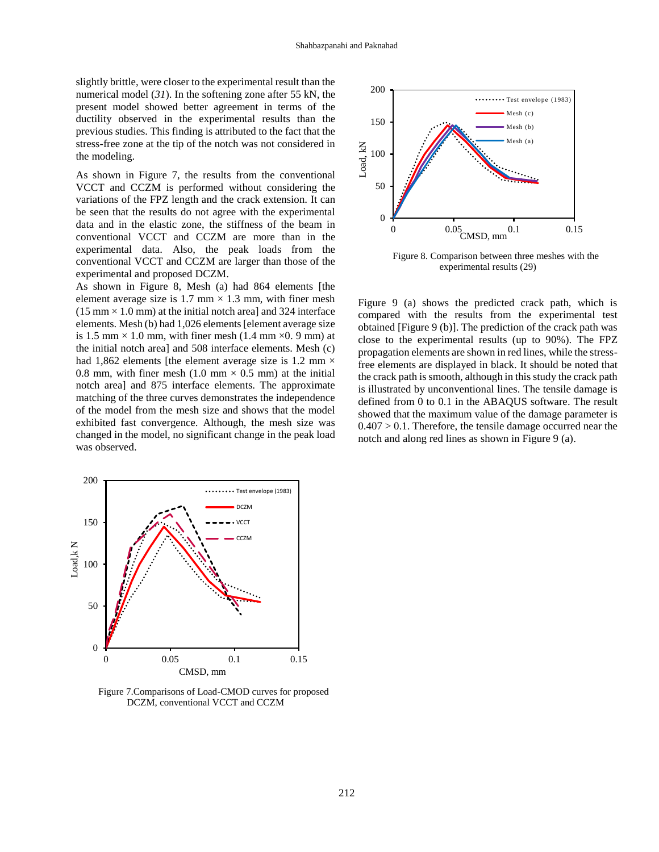slightly brittle, were closer to the experimental result than the numerical model (*[31](#page-9-3)*). In the softening zone after 55 kN, the present model showed better agreement in terms of the ductility observed in the experimental results than the previous studies. This finding is attributed to the fact that the stress-free zone at the tip of the notch was not considered in the modeling.

As shown in Figure 7, the results from the conventional VCCT and CCZM is performed without considering the variations of the FPZ length and the crack extension. It can be seen that the results do not agree with the experimental data and in the elastic zone, the stiffness of the beam in conventional VCCT and CCZM are more than in the experimental data. Also, the peak loads from the conventional VCCT and CCZM are larger than those of the experimental and proposed DCZM.

As shown in Figure 8, Mesh (a) had 864 elements [the element average size is 1.7 mm  $\times$  1.3 mm, with finer mesh  $(15 \text{ mm} \times 1.0 \text{ mm})$  at the initial notch area] and 324 interface elements. Mesh (b) had 1,026 elements [element average size is 1.5 mm  $\times$  1.0 mm, with finer mesh (1.4 mm  $\times$ 0. 9 mm) at the initial notch area] and 508 interface elements. Mesh (c) had 1,862 elements [the element average size is 1.2 mm  $\times$ 0.8 mm, with finer mesh (1.0 mm  $\times$  0.5 mm) at the initial notch area] and 875 interface elements. The approximate matching of the three curves demonstrates the independence of the model from the mesh size and shows that the model exhibited fast convergence. Although, the mesh size was changed in the model, no significant change in the peak load was observed.



Figure 8. Comparison between three meshes with the experimental results (29)

Figure 9 (a) shows the predicted crack path, which is compared with the results from the experimental test obtained [Figure 9 (b)]. The prediction of the crack path was close to the experimental results (up to 90%). The FPZ propagation elements are shown in red lines, while the stressfree elements are displayed in black. It should be noted that the crack path is smooth, although in this study the crack path is illustrated by unconventional lines. The tensile damage is defined from 0 to 0.1 in the ABAQUS software. The result showed that the maximum value of the damage parameter is  $0.407 > 0.1$ . Therefore, the tensile damage occurred near the notch and along red lines as shown in Figure 9 (a).



Figure 7.Comparisons of Load-CMOD curves for proposed DCZM, conventional VCCT and CCZM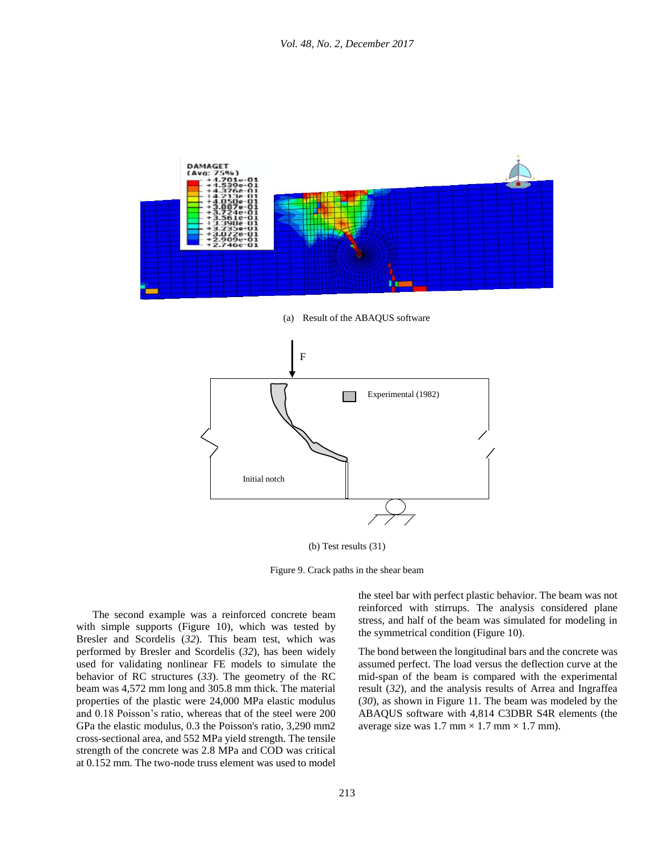

(a) Result of the ABAQUS software



(b) Test results (31)

Figure 9. Crack paths in the shear beam

 The second example was a reinforced concrete beam with simple supports (Figure 10), which was tested by Bresler and Scordelis (*[32](#page-9-4)*). This beam test, which was performed by Bresler and Scordelis (*[32](#page-9-4)*), has been widely used for validating nonlinear FE models to simulate the behavior of RC structures (*[33](#page-9-5)*). The geometry of the RC beam was 4,572 mm long and 305.8 mm thick. The material properties of the plastic were 24,000 MPa elastic modulus and 0.18 Poisson's ratio, whereas that of the steel were 200 GPa the elastic modulus, 0.3 the Poisson's ratio, 3,290 mm2 cross-sectional area, and 552 MPa yield strength. The tensile strength of the concrete was 2.8 MPa and COD was critical at 0.152 mm. The two-node truss element was used to model the steel bar with perfect plastic behavior. The beam was not reinforced with stirrups. The analysis considered plane stress, and half of the beam was simulated for modeling in the symmetrical condition (Figure 10).

The bond between the longitudinal bars and the concrete was assumed perfect. The load versus the deflection curve at the mid-span of the beam is compared with the experimental result (*[32](#page-9-4)*), and the analysis results of Arrea and Ingraffea (*[30](#page-9-2)*), as shown in Figure 11. The beam was modeled by the ABAQUS software with 4,814 C3DBR S4R elements (the average size was 1.7 mm  $\times$  1.7 mm  $\times$  1.7 mm).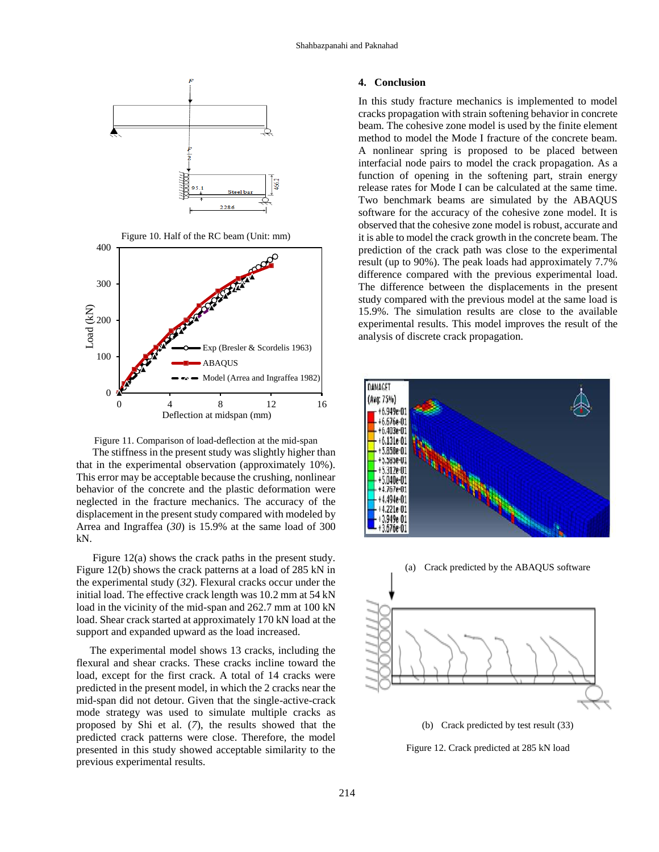

Figure 11. Comparison of load-deflection at the mid-span The stiffness in the present study was slightly higher than that in the experimental observation (approximately 10%). This error may be acceptable because the crushing, nonlinear behavior of the concrete and the plastic deformation were neglected in the fracture mechanics. The accuracy of the displacement in the present study compared with modeled by Arrea and Ingraffea (*[30](#page-9-2)*) is 15.9% at the same load of 300 kN.

 Figure 12(a) shows the crack paths in the present study. Figure 12(b) shows the crack patterns at a load of 285 kN in the experimental study (*[32](#page-9-4)*). Flexural cracks occur under the initial load. The effective crack length was 10.2 mm at 54 kN load in the vicinity of the mid-span and 262.7 mm at 100 kN load. Shear crack started at approximately 170 kN load at the support and expanded upward as the load increased.

 The experimental model shows 13 cracks, including the flexural and shear cracks. These cracks incline toward the load, except for the first crack. A total of 14 cracks were predicted in the present model, in which the 2 cracks near the mid-span did not detour. Given that the single-active-crack mode strategy was used to simulate multiple cracks as proposed by Shi et al. (*[7](#page-8-6)*), the results showed that the predicted crack patterns were close. Therefore, the model presented in this study showed acceptable similarity to the previous experimental results.

# **4. Conclusion**

In this study fracture mechanics is implemented to model cracks propagation with strain softening behavior in concrete beam. The cohesive zone model is used by the finite element method to model the Mode I fracture of the concrete beam. A nonlinear spring is proposed to be placed between interfacial node pairs to model the crack propagation. As a function of opening in the softening part, strain energy release rates for Mode I can be calculated at the same time. Two benchmark beams are simulated by the ABAQUS software for the accuracy of the cohesive zone model. It is observed that the cohesive zone model is robust, accurate and it is able to model the crack growth in the concrete beam. The prediction of the crack path was close to the experimental result (up to 90%). The peak loads had approximately 7.7% difference compared with the previous experimental load. The difference between the displacements in the present study compared with the previous model at the same load is 15.9%. The simulation results are close to the available experimental results. This model improves the result of the analysis of discrete crack propagation.





(b) Crack predicted by test result (33)

Figure 12. Crack predicted at 285 kN load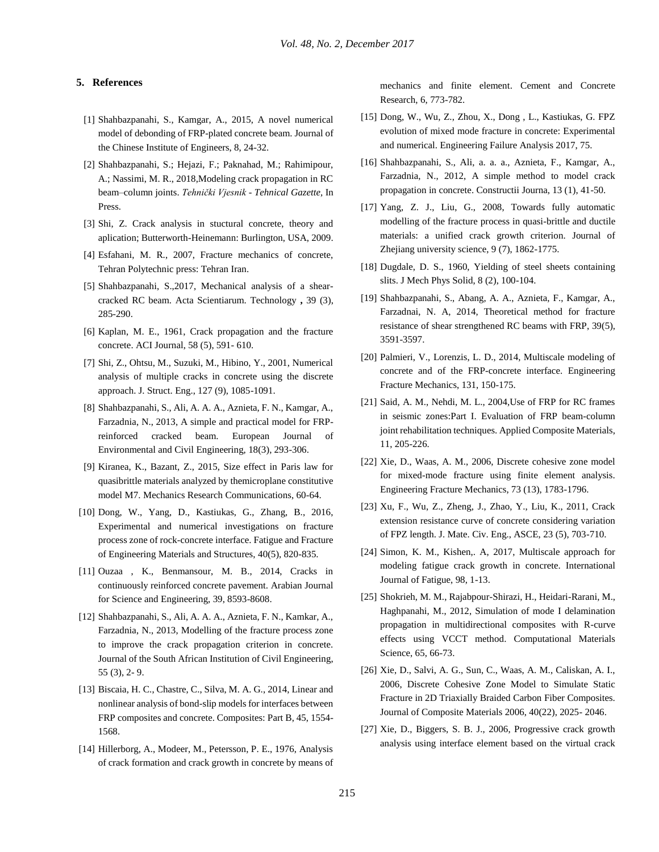# **5. References**

- <span id="page-8-0"></span>[1] Shahbazpanahi, S., Kamgar, A., 2015, A novel numerical model of debonding of FRP-plated concrete beam. Journal of the Chinese Institute of Engineers, 8, 24-32.
- <span id="page-8-1"></span>[2] Shahbazpanahi, S.; Hejazi, F.; Paknahad, M.; Rahimipour, A.; Nassimi, M. R., 2018,Modeling crack propagation in RC beam–column joints. *Tehnički Vjesnik - Tehnical Gazette,* In Press.
- <span id="page-8-2"></span>[3] Shi, Z. Crack analysis in stuctural concrete, theory and aplication; Butterworth-Heinemann: Burlington, USA, 2009.
- <span id="page-8-3"></span>[4] Esfahani, M. R., 2007, Fracture mechanics of concrete, Tehran Polytechnic press: Tehran Iran.
- <span id="page-8-4"></span>[5] Shahbazpanahi, S.,2017, Mechanical analysis of a shearcracked RC beam. Acta Scientiarum. Technology **,** 39 (3), 285-290.
- <span id="page-8-5"></span>[6] Kaplan, M. E., 1961, Crack propagation and the fracture concrete. ACI Journal, 58 (5), 591- 610.
- <span id="page-8-6"></span>[7] Shi, Z., Ohtsu, M., Suzuki, M., Hibino, Y., 2001, Numerical analysis of multiple cracks in concrete using the discrete approach. J. Struct. Eng., 127 (9), 1085-1091.
- <span id="page-8-7"></span>[8] Shahbazpanahi, S., Ali, A. A. A., Aznieta, F. N., Kamgar, A., Farzadnia, N., 2013, A simple and practical model for FRPreinforced cracked beam. European Journal of Environmental and Civil Engineering, 18(3), 293-306.
- <span id="page-8-8"></span>[9] Kiranea, K., Bazant, Z., 2015, Size effect in Paris law for quasibrittle materials analyzed by themicroplane constitutive model M7. Mechanics Research Communications, 60-64.
- <span id="page-8-9"></span>[10] Dong, W., Yang, D., Kastiukas, G., Zhang, B., 2016, Experimental and numerical investigations on fracture process zone of rock-concrete interface. Fatigue and Fracture of Engineering Materials and Structures, 40(5), 820-835.
- <span id="page-8-10"></span>[11] Ouzaa , K., Benmansour, M. B., 2014, Cracks in continuously reinforced concrete pavement. Arabian Journal for Science and Engineering, 39, 8593-8608.
- <span id="page-8-11"></span>[12] Shahbazpanahi, S., Ali, A. A. A., Aznieta, F. N., Kamkar, A., Farzadnia, N., 2013, Modelling of the fracture process zone to improve the crack propagation criterion in concrete. Journal of the South African Institution of Civil Engineering, 55 (3), 2- 9.
- <span id="page-8-12"></span>[13] Biscaia, H. C., Chastre, C., Silva, M. A. G., 2014, Linear and nonlinear analysis of bond-slip models for interfaces between FRP composites and concrete. Composites: Part B, 45, 1554- 1568.
- <span id="page-8-13"></span>[14] Hillerborg, A., Modeer, M., Petersson, P. E., 1976, Analysis of crack formation and crack growth in concrete by means of

mechanics and finite element. Cement and Concrete Research, 6, 773-782.

- <span id="page-8-14"></span>[15] Dong, W., Wu, Z., Zhou, X., Dong , L., Kastiukas, G. FPZ evolution of mixed mode fracture in concrete: Experimental and numerical. Engineering Failure Analysis 2017, 75.
- <span id="page-8-15"></span>[16] Shahbazpanahi, S., Ali, a. a. a., Aznieta, F., Kamgar, A., Farzadnia, N., 2012, A simple method to model crack propagation in concrete. Constructii Journa, 13 (1), 41-50.
- <span id="page-8-16"></span>[17] Yang, Z. J., Liu, G., 2008, Towards fully automatic modelling of the fracture process in quasi-brittle and ductile materials: a unified crack growth criterion. Journal of Zhejiang university science, 9 (7), 1862-1775.
- <span id="page-8-17"></span>[18] Dugdale, D. S., 1960, Yielding of steel sheets containing slits. J Mech Phys Solid, 8 (2), 100-104.
- <span id="page-8-18"></span>[19] Shahbazpanahi, S., Abang, A. A., Aznieta, F., Kamgar, A., Farzadnai, N. A, 2014, Theoretical method for fracture resistance of shear strengthened RC beams with FRP, 39(5), 3591-3597.
- <span id="page-8-19"></span>[20] Palmieri, V., Lorenzis, L. D., 2014, Multiscale modeling of concrete and of the FRP-concrete interface. Engineering Fracture Mechanics, 131, 150-175.
- <span id="page-8-20"></span>[21] Said, A. M., Nehdi, M. L., 2004,Use of FRP for RC frames in seismic zones:Part I. Evaluation of FRP beam-column joint rehabilitation techniques. Applied Composite Materials, 11, 205-226.
- <span id="page-8-21"></span>[22] Xie, D., Waas, A. M., 2006, Discrete cohesive zone model for mixed-mode fracture using finite element analysis. Engineering Fracture Mechanics, 73 (13), 1783-1796.
- <span id="page-8-22"></span>[23] Xu, F., Wu, Z., Zheng, J., Zhao, Y., Liu, K., 2011, Crack extension resistance curve of concrete considering variation of FPZ length. J. Mate. Civ. Eng., ASCE, 23 (5), 703-710.
- <span id="page-8-23"></span>[24] Simon, K. M., Kishen,. A, 2017, Multiscale approach for modeling fatigue crack growth in concrete. International Journal of Fatigue, 98, 1-13.
- <span id="page-8-24"></span>[25] Shokrieh, M. M., Rajabpour-Shirazi, H., Heidari-Rarani, M., Haghpanahi, M., 2012, Simulation of mode I delamination propagation in multidirectional composites with R-curve effects using VCCT method. Computational Materials Science, 65, 66-73.
- <span id="page-8-25"></span>[26] Xie, D., Salvi, A. G., Sun, C., Waas, A. M., Caliskan, A. I., 2006, Discrete Cohesive Zone Model to Simulate Static Fracture in 2D Triaxially Braided Carbon Fiber Composites. Journal of Composite Materials 2006, 40(22), 2025- 2046.
- <span id="page-8-26"></span>[27] Xie, D., Biggers, S. B. J., 2006, Progressive crack growth analysis using interface element based on the virtual crack